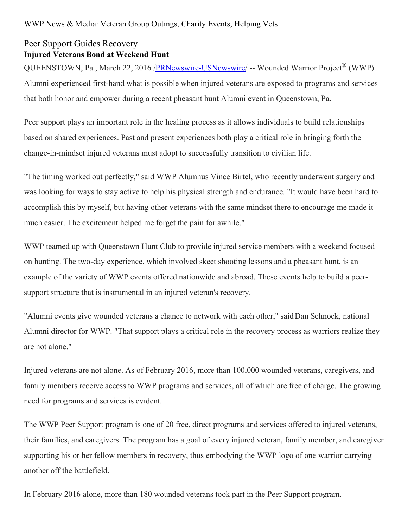## Peer Support Guides Recovery **Injured Veterans Bond at Weekend Hunt**

QUEENSTOWN, Pa., March 22, 2016 [/PRNewswire-USNewswire](http://www.prnewswire.com/)/ -- Wounded Warrior Project® (WWP) Alumni experienced first-hand what is possible when injured veterans are exposed to programs and services that both honor and empower during a recent pheasant hunt Alumni event in Queenstown, Pa.

Peer support plays an important role in the healing process as it allows individuals to build relationships based on shared experiences. Past and present experiences both play a critical role in bringing forth the change-in-mindset injured veterans must adopt to successfully transition to civilian life.

"The timing worked out perfectly," said WWP Alumnus Vince Birtel, who recently underwent surgery and was looking for ways to stay active to help his physical strength and endurance. "It would have been hard to accomplish this by myself, but having other veterans with the same mindset there to encourage me made it much easier. The excitement helped me forget the pain for awhile."

WWP teamed up with Queenstown Hunt Club to provide injured service members with a weekend focused on hunting. The two-day experience, which involved skeet shooting lessons and a pheasant hunt, is an example of the variety of WWP events offered nationwide and abroad. These events help to build a peersupport structure that is instrumental in an injured veteran's recovery.

"Alumni events give wounded veterans a chance to network with each other," saidDan Schnock, national Alumni director for WWP. "That support plays a critical role in the recovery process as warriors realize they are not alone."

Injured veterans are not alone. As of February 2016, more than 100,000 wounded veterans, caregivers, and family members receive access to WWP programs and services, all of which are free of charge. The growing need for programs and services is evident.

The WWP Peer Support program is one of 20 free, direct programs and services offered to injured veterans, their families, and caregivers. The program has a goal of every injured veteran, family member, and caregiver supporting his or her fellow members in recovery, thus embodying the WWP logo of one warrior carrying another off the battlefield.

In February 2016 alone, more than 180 wounded veterans took part in the Peer Support program.